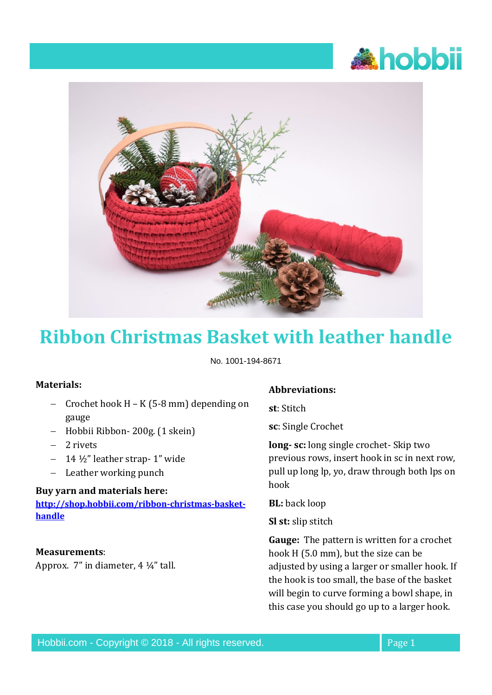



# **Ribbon Christmas Basket with leather handle**

No. 1001-194-8671

## **Materials:**

- − Crochet hook H K (5-8 mm) depending on gauge
- − Hobbii Ribbon- 200g. (1 skein)
- − 2 rivets
- − 14 ½" leather strap- 1" wide
- − Leather working punch

### **Buy yarn and materials here:**

**[http://shop.hobbii.com/ribbon-christmas-basket](http://shop.hobbii.com/ribbon-christmas-basket-handle)[handle](http://shop.hobbii.com/ribbon-christmas-basket-handle)**

### **Measurements**:

Approx. 7" in diameter, 4 ¼" tall.

#### **Abbreviations:**

**st**: Stitch

**sc**: Single Crochet

**long- sc:** long single crochet- Skip two previous rows, insert hook in sc in next row, pull up long lp, yo, draw through both lps on hook

**BL:** back loop

**Sl st:** slip stitch

**Gauge:** The pattern is written for a crochet hook H (5.0 mm), but the size can be adjusted by using a larger or smaller hook. If the hook is too small, the base of the basket will begin to curve forming a bowl shape, in this case you should go up to a larger hook.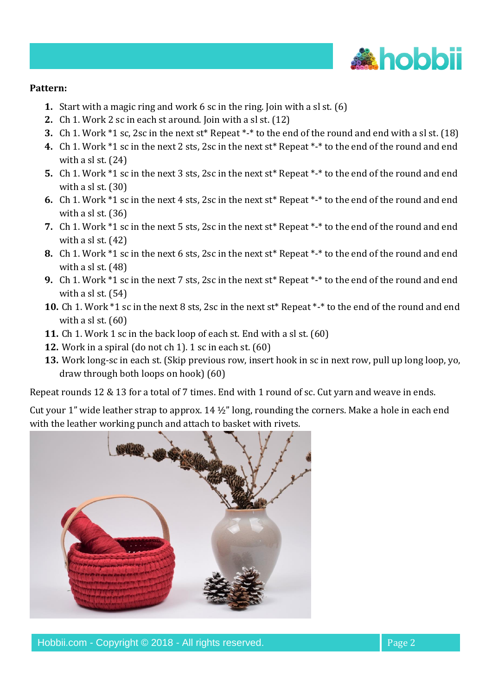

## **Pattern:**

- **1.** Start with a magic ring and work 6 sc in the ring. Join with a sl st. (6)
- **2.** Ch 1. Work 2 sc in each st around. Join with a sl st. (12)
- **3.** Ch 1. Work \*1 sc, 2sc in the next st\* Repeat \*-\* to the end of the round and end with a sl st. (18)
- **4.** Ch 1. Work \*1 sc in the next 2 sts, 2sc in the next st\* Repeat \*-\* to the end of the round and end with a sl st. (24)
- **5.** Ch 1. Work \*1 sc in the next 3 sts, 2sc in the next st\* Repeat \*-\* to the end of the round and end with a sl st. (30)
- **6.** Ch 1. Work \*1 sc in the next 4 sts, 2sc in the next st\* Repeat \*-\* to the end of the round and end with a sl st. (36)
- **7.** Ch 1. Work \*1 sc in the next 5 sts, 2sc in the next st\* Repeat \*-\* to the end of the round and end with a sl st.  $(42)$
- **8.** Ch 1. Work \*1 sc in the next 6 sts, 2sc in the next st\* Repeat \*-\* to the end of the round and end with a sl st. (48)
- **9.** Ch 1. Work \*1 sc in the next 7 sts, 2sc in the next st\* Repeat \*-\* to the end of the round and end with a sl st. (54)
- **10.** Ch 1. Work \*1 sc in the next 8 sts, 2sc in the next st\* Repeat \*-\* to the end of the round and end with a sl st.  $(60)$
- **11.** Ch 1. Work 1 sc in the back loop of each st. End with a sl st. (60)
- **12.** Work in a spiral (do not ch 1). 1 sc in each st. (60)
- **13.** Work long-sc in each st. (Skip previous row, insert hook in sc in next row, pull up long loop, yo, draw through both loops on hook) (60)

Repeat rounds 12 & 13 for a total of 7 times. End with 1 round of sc. Cut yarn and weave in ends.

Cut your 1" wide leather strap to approx. 14 ½" long, rounding the corners. Make a hole in each end with the leather working punch and attach to basket with rivets.

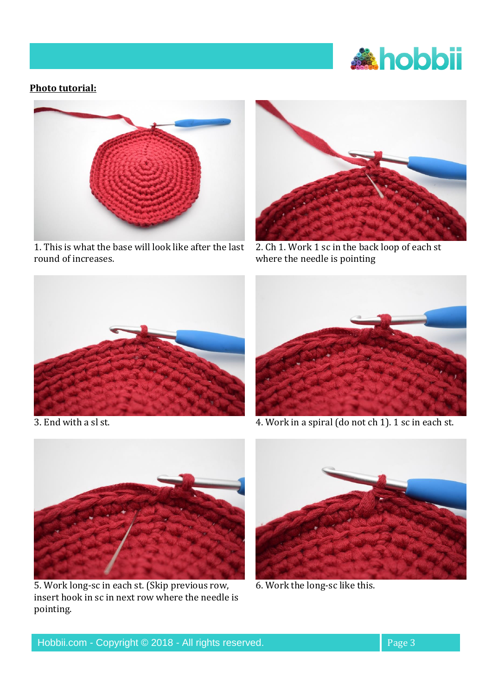

## **Photo tutorial:**



1. This is what the base will look like after the last round of increases.



2. Ch 1. Work 1 sc in the back loop of each st where the needle is pointing





3. End with a sl st. 4. Work in a spiral (do not ch 1). 1 sc in each st.



5. Work long-sc in each st. (Skip previous row, insert hook in sc in next row where the needle is pointing.



6. Work the long-sc like this.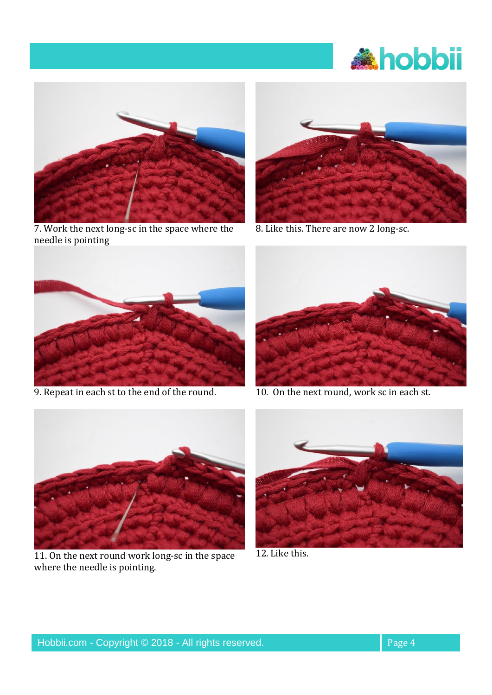



7. Work the next long-sc in the space where the needle is pointing



8. Like this. There are now 2 long-sc.



9. Repeat in each st to the end of the round. 10. On the next round, work sc in each st.





11. On the next round work long-sc in the space where the needle is pointing.



12. Like this.